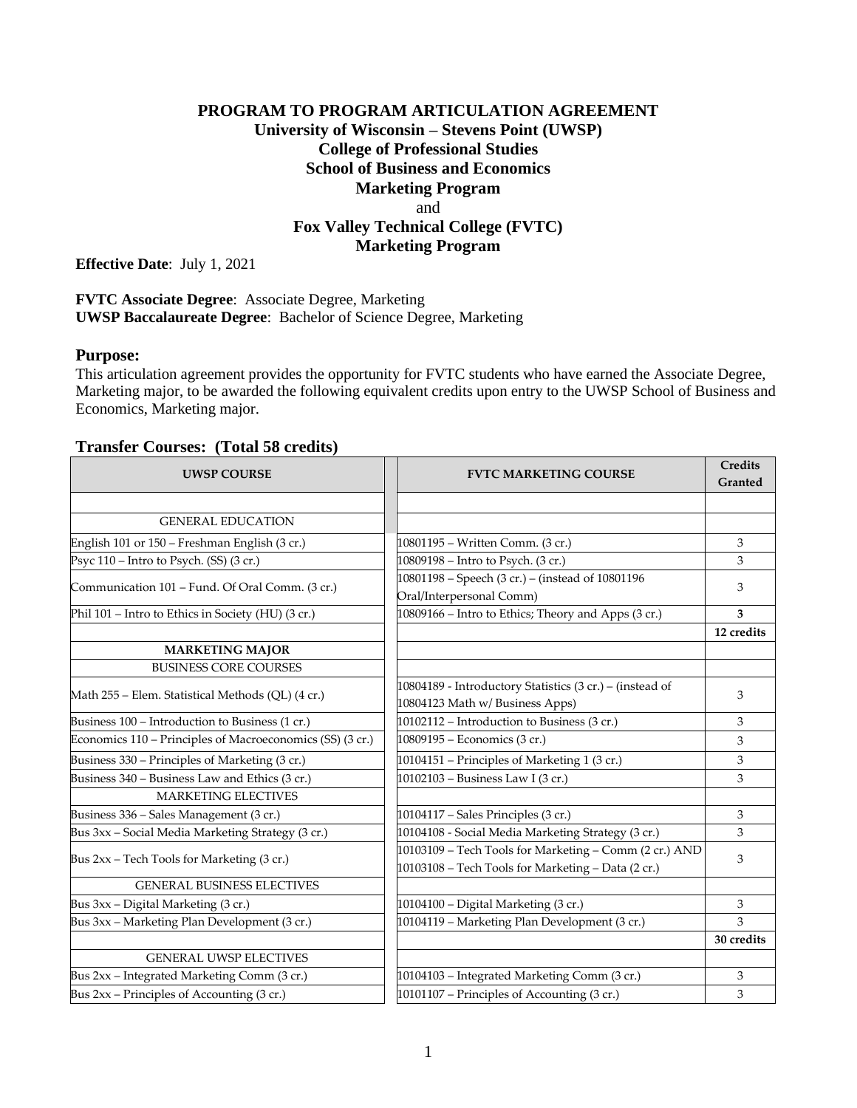## **PROGRAM TO PROGRAM ARTICULATION AGREEMENT University of Wisconsin – Stevens Point (UWSP) College of Professional Studies School of Business and Economics Marketing Program** and **Fox Valley Technical College (FVTC) Marketing Program**

**Effective Date**: July 1, 2021

#### **FVTC Associate Degree**: Associate Degree, Marketing **UWSP Baccalaureate Degree**: Bachelor of Science Degree, Marketing

#### **Purpose:**

This articulation agreement provides the opportunity for FVTC students who have earned the Associate Degree, Marketing major, to be awarded the following equivalent credits upon entry to the UWSP School of Business and Economics, Marketing major.

## **Transfer Courses: (Total 58 credits)**

| <b>UWSP COURSE</b>                                        | <b>FVTC MARKETING COURSE</b>                                                 | <b>Credits</b><br>Granted |  |
|-----------------------------------------------------------|------------------------------------------------------------------------------|---------------------------|--|
|                                                           |                                                                              |                           |  |
| <b>GENERAL EDUCATION</b>                                  |                                                                              |                           |  |
| English 101 or 150 - Freshman English (3 cr.)             | 10801195 - Written Comm. (3 cr.)                                             | 3                         |  |
| Psyc 110 – Intro to Psych. (SS) (3 cr.)                   | 10809198 - Intro to Psych. (3 cr.)                                           | 3                         |  |
| Communication 101 – Fund. Of Oral Comm. (3 cr.)           | 10801198 - Speech (3 cr.) - (instead of 10801196<br>Oral/Interpersonal Comm) | 3                         |  |
| Phil 101 - Intro to Ethics in Society (HU) (3 cr.)        | 10809166 – Intro to Ethics; Theory and Apps (3 cr.)                          | 3                         |  |
|                                                           |                                                                              | 12 credits                |  |
| <b>MARKETING MAJOR</b>                                    |                                                                              |                           |  |
| <b>BUSINESS CORE COURSES</b>                              |                                                                              |                           |  |
|                                                           | 10804189 - Introductory Statistics (3 cr.) – (instead of                     | 3                         |  |
| Math 255 - Elem. Statistical Methods (QL) (4 cr.)         | 10804123 Math w/ Business Apps)                                              |                           |  |
| Business 100 - Introduction to Business (1 cr.)           | 10102112 - Introduction to Business (3 cr.)                                  | 3                         |  |
| Economics 110 – Principles of Macroeconomics (SS) (3 cr.) | 10809195 - Economics (3 cr.)                                                 | 3                         |  |
| Business 330 – Principles of Marketing (3 cr.)            | 10104151 - Principles of Marketing 1 (3 cr.)                                 | 3                         |  |
| Business 340 – Business Law and Ethics (3 cr.)            | 10102103 - Business Law I (3 cr.)                                            | 3                         |  |
| <b>MARKETING ELECTIVES</b>                                |                                                                              |                           |  |
| Business 336 - Sales Management (3 cr.)                   | 10104117 - Sales Principles (3 cr.)                                          | 3                         |  |
| Bus 3xx - Social Media Marketing Strategy (3 cr.)         | 10104108 - Social Media Marketing Strategy (3 cr.)                           | 3                         |  |
| Bus 2xx - Tech Tools for Marketing (3 cr.)                | 10103109 - Tech Tools for Marketing - Comm (2 cr.) AND                       | 3                         |  |
|                                                           | 10103108 - Tech Tools for Marketing - Data (2 cr.)                           |                           |  |
| <b>GENERAL BUSINESS ELECTIVES</b>                         |                                                                              |                           |  |
| Bus 3xx - Digital Marketing (3 cr.)                       | 10104100 - Digital Marketing (3 cr.)                                         | 3                         |  |
| Bus 3xx - Marketing Plan Development (3 cr.)              | 10104119 - Marketing Plan Development (3 cr.)                                | 3                         |  |
|                                                           |                                                                              | 30 credits                |  |
| <b>GENERAL UWSP ELECTIVES</b>                             |                                                                              |                           |  |
| Bus 2xx - Integrated Marketing Comm (3 cr.)               | 10104103 - Integrated Marketing Comm (3 cr.)                                 | 3                         |  |
| Bus 2xx - Principles of Accounting (3 cr.)                | 10101107 - Principles of Accounting (3 cr.)                                  | 3                         |  |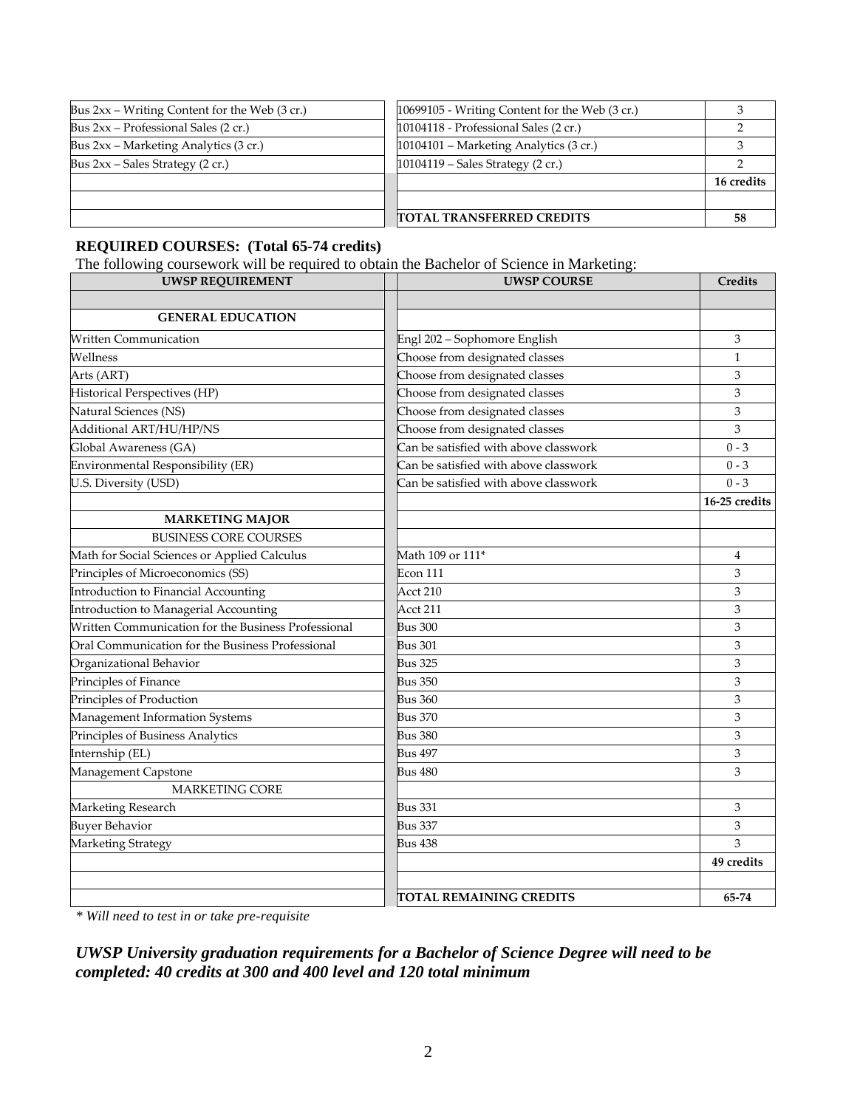| Bus $2xx$ – Writing Content for the Web $(3 \text{ cr.})$ | $10699105$ - Writing Content for the Web $(3 cr.)$ |            |
|-----------------------------------------------------------|----------------------------------------------------|------------|
| Bus 2xx – Professional Sales (2 cr.)                      | 10104118 - Professional Sales (2 cr.)              |            |
| Bus 2xx – Marketing Analytics (3 cr.)                     | 10104101 - Marketing Analytics (3 cr.)             |            |
| Bus $2xx$ – Sales Strategy (2 cr.)                        | 10104119 - Sales Strategy (2 cr.)                  |            |
|                                                           |                                                    | 16 credits |
|                                                           |                                                    |            |
|                                                           | <b>TOTAL TRANSFERRED CREDITS</b>                   | 58         |

# **REQUIRED COURSES: (Total 65-74 credits)**

The following coursework will be required to obtain the Bachelor of Science in Marketing:

| <b>UWSP REQUIREMENT</b>                             | <b>UWSP COURSE</b>                    | Credits       |
|-----------------------------------------------------|---------------------------------------|---------------|
|                                                     |                                       |               |
| <b>GENERAL EDUCATION</b>                            |                                       |               |
| <b>Written Communication</b>                        | Engl 202 - Sophomore English          | 3             |
| Wellness                                            | Choose from designated classes        | $\mathbf{1}$  |
| Arts (ART)                                          | Choose from designated classes        | 3             |
| Historical Perspectives (HP)                        | Choose from designated classes        | $\mathfrak 3$ |
| Natural Sciences (NS)                               | Choose from designated classes        | 3             |
| Additional ART/HU/HP/NS                             | Choose from designated classes        | 3             |
| Global Awareness (GA)                               | Can be satisfied with above classwork | $0 - 3$       |
| Environmental Responsibility (ER)                   | Can be satisfied with above classwork | $0 - 3$       |
| U.S. Diversity (USD)                                | Can be satisfied with above classwork | $0 - 3$       |
|                                                     |                                       | 16-25 credits |
| <b>MARKETING MAJOR</b>                              |                                       |               |
| <b>BUSINESS CORE COURSES</b>                        |                                       |               |
| Math for Social Sciences or Applied Calculus        | Math 109 or 111 <sup>*</sup>          | 4             |
| Principles of Microeconomics (SS)                   | Econ 111                              | 3             |
| Introduction to Financial Accounting                | Acct 210                              | 3             |
| Introduction to Managerial Accounting               | Acct 211                              | 3             |
| Written Communication for the Business Professional | <b>Bus 300</b>                        | 3             |
| Oral Communication for the Business Professional    | <b>Bus 301</b>                        | 3             |
| Organizational Behavior                             | <b>Bus 325</b>                        | 3             |
| Principles of Finance                               | <b>Bus 350</b>                        | 3             |
| Principles of Production                            | <b>Bus 360</b>                        | 3             |
| Management Information Systems                      | <b>Bus 370</b>                        | 3             |
| Principles of Business Analytics                    | <b>Bus 380</b>                        | 3             |
| Internship $(EL)$                                   | <b>Bus 497</b>                        | 3             |
| Management Capstone                                 | Bus 480                               | 3             |
| <b>MARKETING CORE</b>                               |                                       |               |
| Marketing Research                                  | <b>Bus 331</b>                        | 3             |
| <b>Buyer Behavior</b>                               | <b>Bus 337</b>                        | 3             |
| Marketing Strategy                                  | <b>Bus 438</b>                        | 3             |
|                                                     |                                       | 49 credits    |
|                                                     |                                       |               |
|                                                     | <b>TOTAL REMAINING CREDITS</b>        | 65-74         |

*\* Will need to test in or take pre-requisite*

*UWSP University graduation requirements for a Bachelor of Science Degree will need to be completed: 40 credits at 300 and 400 level and 120 total minimum*